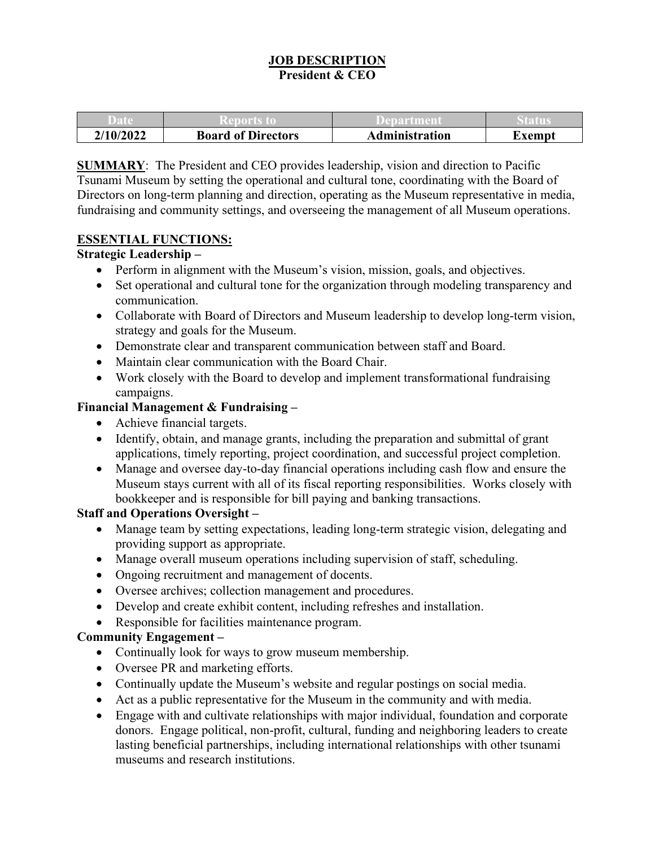### **JOB DESCRIPTION President & CEO**

| 1/2022<br>'10/<br>41 | <b>Board of Directors</b> | Administration | xemnt |
|----------------------|---------------------------|----------------|-------|

**SUMMARY**: The President and CEO provides leadership, vision and direction to Pacific Tsunami Museum by setting the operational and cultural tone, coordinating with the Board of Directors on long-term planning and direction, operating as the Museum representative in media, fundraising and community settings, and overseeing the management of all Museum operations.

#### **ESSENTIAL FUNCTIONS:**

### **Strategic Leadership –**

- Perform in alignment with the Museum's vision, mission, goals, and objectives.
- Set operational and cultural tone for the organization through modeling transparency and communication.
- Collaborate with Board of Directors and Museum leadership to develop long-term vision, strategy and goals for the Museum.
- Demonstrate clear and transparent communication between staff and Board.
- Maintain clear communication with the Board Chair.
- Work closely with the Board to develop and implement transformational fundraising campaigns.

### **Financial Management & Fundraising –**

- Achieve financial targets.
- Identify, obtain, and manage grants, including the preparation and submittal of grant applications, timely reporting, project coordination, and successful project completion.
- Manage and oversee day-to-day financial operations including cash flow and ensure the Museum stays current with all of its fiscal reporting responsibilities. Works closely with bookkeeper and is responsible for bill paying and banking transactions.

#### **Staff and Operations Oversight –**

- Manage team by setting expectations, leading long-term strategic vision, delegating and providing support as appropriate.
- Manage overall museum operations including supervision of staff, scheduling.
- Ongoing recruitment and management of docents.
- Oversee archives; collection management and procedures.
- Develop and create exhibit content, including refreshes and installation.
- Responsible for facilities maintenance program.

#### **Community Engagement –**

- Continually look for ways to grow museum membership.
- Oversee PR and marketing efforts.
- Continually update the Museum's website and regular postings on social media.
- Act as a public representative for the Museum in the community and with media.
- Engage with and cultivate relationships with major individual, foundation and corporate donors. Engage political, non-profit, cultural, funding and neighboring leaders to create lasting beneficial partnerships, including international relationships with other tsunami museums and research institutions.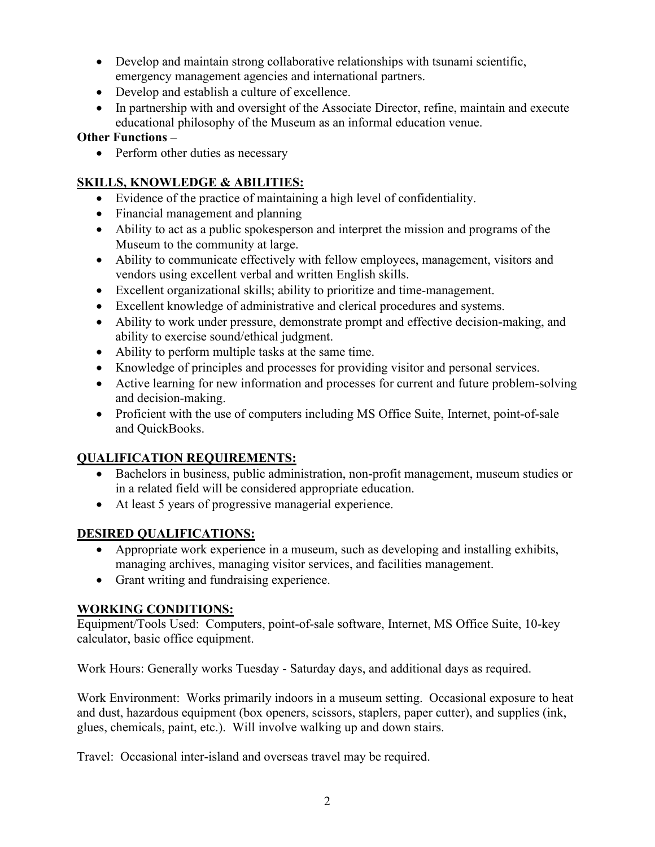- Develop and maintain strong collaborative relationships with tsunami scientific, emergency management agencies and international partners.
- Develop and establish a culture of excellence.
- In partnership with and oversight of the Associate Director, refine, maintain and execute educational philosophy of the Museum as an informal education venue.

### **Other Functions –**

• Perform other duties as necessary

# **SKILLS, KNOWLEDGE & ABILITIES:**

- Evidence of the practice of maintaining a high level of confidentiality.
- Financial management and planning
- Ability to act as a public spokesperson and interpret the mission and programs of the Museum to the community at large.
- Ability to communicate effectively with fellow employees, management, visitors and vendors using excellent verbal and written English skills.
- Excellent organizational skills; ability to prioritize and time-management.
- Excellent knowledge of administrative and clerical procedures and systems.
- Ability to work under pressure, demonstrate prompt and effective decision-making, and ability to exercise sound/ethical judgment.
- Ability to perform multiple tasks at the same time.
- Knowledge of principles and processes for providing visitor and personal services.
- Active learning for new information and processes for current and future problem-solving and decision-making.
- Proficient with the use of computers including MS Office Suite, Internet, point-of-sale and QuickBooks.

# **QUALIFICATION REQUIREMENTS:**

- Bachelors in business, public administration, non-profit management, museum studies or in a related field will be considered appropriate education.
- At least 5 years of progressive managerial experience.

# **DESIRED QUALIFICATIONS:**

- Appropriate work experience in a museum, such as developing and installing exhibits, managing archives, managing visitor services, and facilities management.
- Grant writing and fundraising experience.

# **WORKING CONDITIONS:**

Equipment/Tools Used: Computers, point-of-sale software, Internet, MS Office Suite, 10-key calculator, basic office equipment.

Work Hours: Generally works Tuesday - Saturday days, and additional days as required.

Work Environment: Works primarily indoors in a museum setting. Occasional exposure to heat and dust, hazardous equipment (box openers, scissors, staplers, paper cutter), and supplies (ink, glues, chemicals, paint, etc.). Will involve walking up and down stairs.

Travel: Occasional inter-island and overseas travel may be required.